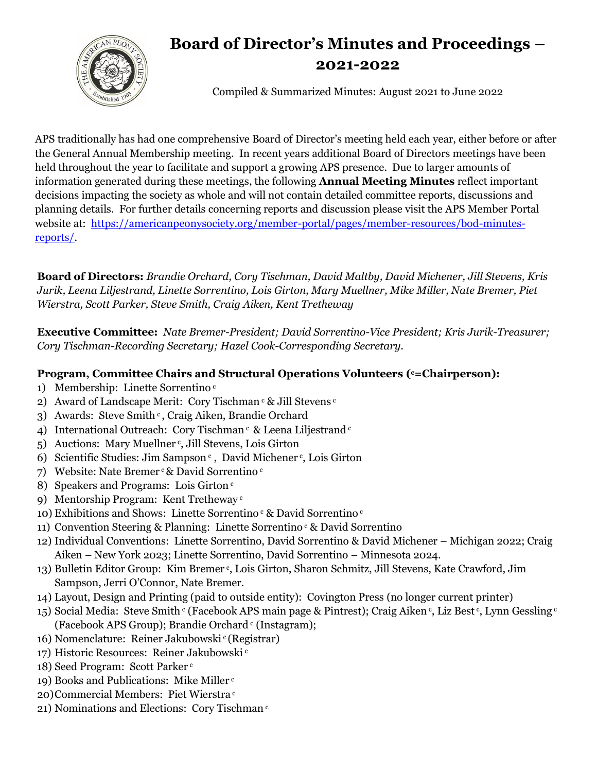

## **Board of Director's Minutes and Proceedings – 2021-2022**

Compiled & Summarized Minutes: August 2021 to June 2022

APS traditionally has had one comprehensive Board of Director's meeting held each year, either before or after the General Annual Membership meeting. In recent years additional Board of Directors meetings have been held throughout the year to facilitate and support a growing APS presence. Due to larger amounts of information generated during these meetings, the following **Annual Meeting Minutes** reflect important decisions impacting the society as whole and will not contain detailed committee reports, discussions and planning details. For further details concerning reports and discussion please visit the APS Member Portal website at: [https://americanpeonysociety.org/member-portal/pages/member-resources/bod-minutes](https://americanpeonysociety.org/member-portal/pages/member-resources/bod-minutes-reports/)[reports/.](https://americanpeonysociety.org/member-portal/pages/member-resources/bod-minutes-reports/)

**Board of Directors:** *Brandie Orchard, Cory Tischman, David Maltby, David Michener, Jill Stevens, Kris Jurik, Leena Liljestrand, Linette Sorrentino, Lois Girton, Mary Muellner, Mike Miller, Nate Bremer, Piet Wierstra, Scott Parker, Steve Smith, Craig Aiken, Kent Tretheway*

**Executive Committee:** *Nate Bremer-President; David Sorrentino-Vice President; Kris Jurik-Treasurer; Cory Tischman-Recording Secretary; Hazel Cook-Corresponding Secretary.*

## **Program, Committee Chairs and Structural Operations Volunteers ( <sup>c</sup>=Chairperson):**

- 1) Membership: Linette Sorrentino<sup>c</sup>
- 2) Award of Landscape Merit: Cory Tischman  $c \&$  Jill Stevens  $c$
- 3) Awards: Steve Smith<sup>c</sup>, Craig Aiken, Brandie Orchard
- 4) International Outreach: Cory Tischman<sup>c</sup> & Leena Liljestrand<sup>c</sup>
- 5) Auctions: Mary Muellner<sup>c</sup>, Jill Stevens, Lois Girton
- 6) Scientific Studies: Jim Sampson<sup>c</sup>, David Michener<sup>c</sup>, Lois Girton
- 7) Website: Nate Bremer c & David Sorrentino c
- 8) Speakers and Programs: Lois Girton<sup>c</sup>
- 9) Mentorship Program: Kent Tretheway <sup>c</sup>
- 10) Exhibitions and Shows: Linette Sorrentino  $c \&$  David Sorrentino  $c$
- 11) Convention Steering & Planning: Linette Sorrentino  $\epsilon$  & David Sorrentino
- 12) Individual Conventions: Linette Sorrentino, David Sorrentino & David Michener Michigan 2022; Craig Aiken – New York 2023; Linette Sorrentino, David Sorrentino – Minnesota 2024.
- 13) Bulletin Editor Group: Kim Bremer<sup>c</sup>, Lois Girton, Sharon Schmitz, Jill Stevens, Kate Crawford, Jim Sampson, Jerri O'Connor, Nate Bremer.
- 14) Layout, Design and Printing (paid to outside entity): Covington Press (no longer current printer)
- 15) Social Media: Steve Smith <sup>c</sup> (Facebook APS main page & Pintrest); Craig Aiken <sup>c</sup>, Liz Best <sup>c</sup>, Lynn Gessling <sup>c</sup> (Facebook APS Group); Brandie Orchard  $\circ$  (Instagram);
- 16) Nomenclature: Reiner Jakubowski <sup>c</sup>(Registrar)
- 17) Historic Resources: Reiner Jakubowski <sup>c</sup>
- 18) Seed Program: Scott Parker <sup>c</sup>
- 19) Books and Publications: Mike Miller <sup>c</sup>
- 20)Commercial Members: Piet Wierstra <sup>c</sup>
- 21) Nominations and Elections: Cory Tischman <sup>c</sup>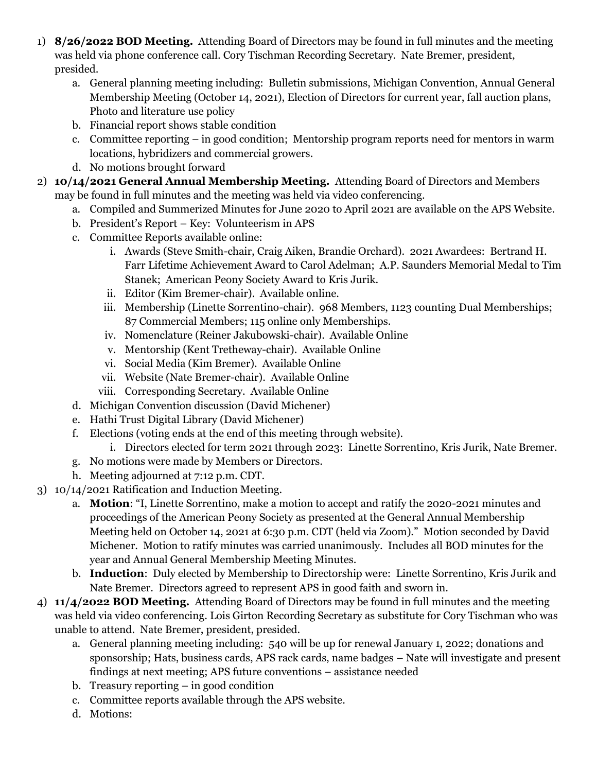- 1) **8/26/2022 BOD Meeting.** Attending Board of Directors may be found in full minutes and the meeting was held via phone conference call. Cory Tischman Recording Secretary. Nate Bremer, president, presided.
	- a. General planning meeting including: Bulletin submissions, Michigan Convention, Annual General Membership Meeting (October 14, 2021), Election of Directors for current year, fall auction plans, Photo and literature use policy
	- b. Financial report shows stable condition
	- c. Committee reporting in good condition; Mentorship program reports need for mentors in warm locations, hybridizers and commercial growers.
	- d. No motions brought forward
- 2) **10/14/2021 General Annual Membership Meeting.** Attending Board of Directors and Members may be found in full minutes and the meeting was held via video conferencing.
	- a. Compiled and Summerized Minutes for June 2020 to April 2021 are available on the APS Website.
	- b. President's Report Key: Volunteerism in APS
	- c. Committee Reports available online:
		- i. Awards (Steve Smith-chair, Craig Aiken, Brandie Orchard). 2021 Awardees: Bertrand H. Farr Lifetime Achievement Award to Carol Adelman; A.P. Saunders Memorial Medal to Tim Stanek; American Peony Society Award to Kris Jurik.
		- ii. Editor (Kim Bremer-chair). Available online.
		- iii. Membership (Linette Sorrentino-chair). 968 Members, 1123 counting Dual Memberships; 87 Commercial Members; 115 online only Memberships.
		- iv. Nomenclature (Reiner Jakubowski-chair). Available Online
		- v. Mentorship (Kent Tretheway-chair). Available Online
		- vi. Social Media (Kim Bremer). Available Online
		- vii. Website (Nate Bremer-chair). Available Online
		- viii. Corresponding Secretary. Available Online
	- d. Michigan Convention discussion (David Michener)
	- e. Hathi Trust Digital Library (David Michener)
	- f. Elections (voting ends at the end of this meeting through website).
	- i. Directors elected for term 2021 through 2023: Linette Sorrentino, Kris Jurik, Nate Bremer.
	- g. No motions were made by Members or Directors.
	- h. Meeting adjourned at 7:12 p.m. CDT.
- 3) 10/14/2021 Ratification and Induction Meeting.
	- a. **Motion**: "I, Linette Sorrentino, make a motion to accept and ratify the 2020-2021 minutes and proceedings of the American Peony Society as presented at the General Annual Membership Meeting held on October 14, 2021 at 6:30 p.m. CDT (held via Zoom)." Motion seconded by David Michener. Motion to ratify minutes was carried unanimously. Includes all BOD minutes for the year and Annual General Membership Meeting Minutes.
	- b. **Induction**: Duly elected by Membership to Directorship were: Linette Sorrentino, Kris Jurik and Nate Bremer. Directors agreed to represent APS in good faith and sworn in.
- 4) **11/4/2022 BOD Meeting.** Attending Board of Directors may be found in full minutes and the meeting was held via video conferencing. Lois Girton Recording Secretary as substitute for Cory Tischman who was unable to attend. Nate Bremer, president, presided.
	- a. General planning meeting including: 540 will be up for renewal January 1, 2022; donations and sponsorship; Hats, business cards, APS rack cards, name badges – Nate will investigate and present findings at next meeting; APS future conventions – assistance needed
	- b. Treasury reporting in good condition
	- c. Committee reports available through the APS website.
	- d. Motions: